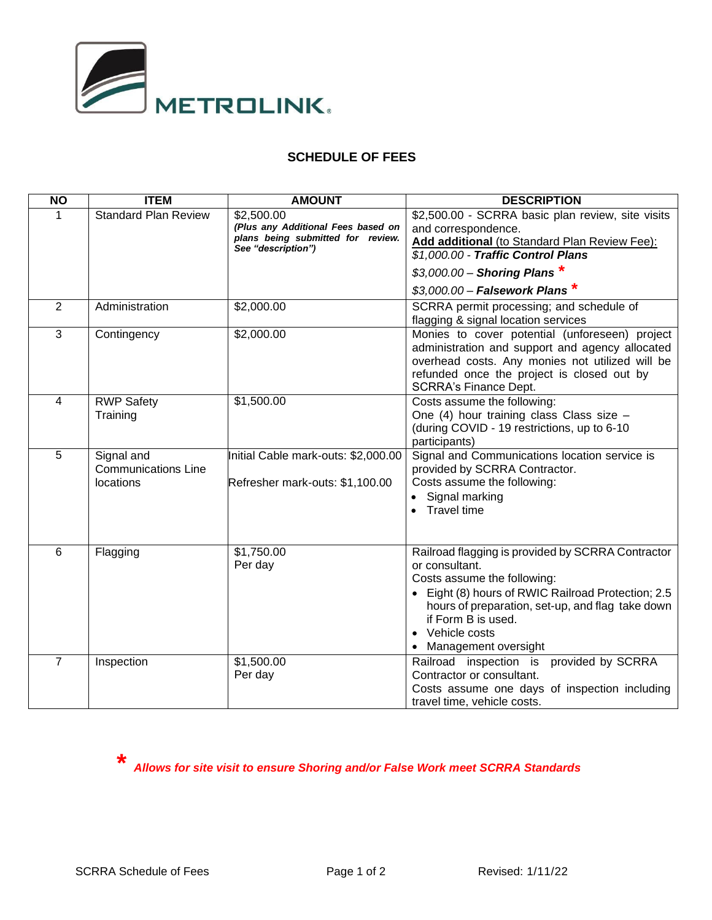

## **SCHEDULE OF FEES**

| <b>NO</b>      | <b>ITEM</b>                                           | <b>AMOUNT</b>                                                                                               | <b>DESCRIPTION</b>                                                                                                                                                                                                                                                          |
|----------------|-------------------------------------------------------|-------------------------------------------------------------------------------------------------------------|-----------------------------------------------------------------------------------------------------------------------------------------------------------------------------------------------------------------------------------------------------------------------------|
| 1              | <b>Standard Plan Review</b>                           | \$2,500.00<br>(Plus any Additional Fees based on<br>plans being submitted for review.<br>See "description") | \$2,500.00 - SCRRA basic plan review, site visits<br>and correspondence.<br>Add additional (to Standard Plan Review Fee):<br>\$1,000.00 - Traffic Control Plans                                                                                                             |
|                |                                                       |                                                                                                             | $$3,000.00 -$ Shoring Plans *<br>$$3,000.00 -$ Falsework Plans *                                                                                                                                                                                                            |
| 2              | Administration                                        | \$2,000.00                                                                                                  | SCRRA permit processing; and schedule of<br>flagging & signal location services                                                                                                                                                                                             |
| 3              | Contingency                                           | \$2,000.00                                                                                                  | Monies to cover potential (unforeseen) project<br>administration and support and agency allocated<br>overhead costs. Any monies not utilized will be<br>refunded once the project is closed out by<br><b>SCRRA's Finance Dept.</b>                                          |
| 4              | <b>RWP Safety</b><br>Training                         | \$1,500.00                                                                                                  | Costs assume the following:<br>One (4) hour training class Class size -<br>(during COVID - 19 restrictions, up to 6-10<br>participants)                                                                                                                                     |
| 5              | Signal and<br><b>Communications Line</b><br>locations | Initial Cable mark-outs: \$2,000.00<br>Refresher mark-outs: \$1,100.00                                      | Signal and Communications location service is<br>provided by SCRRA Contractor.<br>Costs assume the following:<br>• Signal marking<br>• Travel time                                                                                                                          |
| 6              | Flagging                                              | \$1,750.00<br>Per day                                                                                       | Railroad flagging is provided by SCRRA Contractor<br>or consultant.<br>Costs assume the following:<br>• Eight (8) hours of RWIC Railroad Protection; 2.5<br>hours of preparation, set-up, and flag take down<br>if Form B is used.<br>Vehicle costs<br>Management oversight |
| $\overline{7}$ | Inspection                                            | \$1,500.00<br>Per day                                                                                       | Railroad inspection is provided by SCRRA<br>Contractor or consultant.<br>Costs assume one days of inspection including<br>travel time, vehicle costs.                                                                                                                       |

**\*** *Allows for site visit to ensure Shoring and/or False Work meet SCRRA Standards*